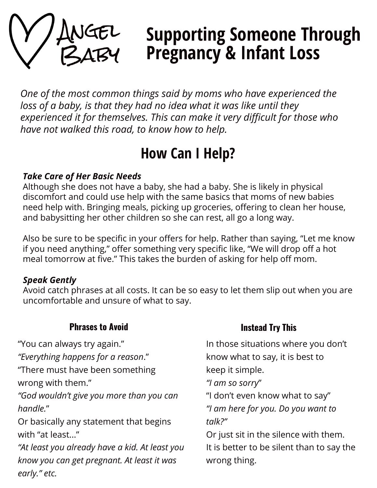

# Supporting Someone Through Pregnancy & Infant Loss

One of the most common things said by moms who have experienced the loss of a baby, is that they had no idea what it was like until they experienced it for themselves. This can make it very difficult for those who have not walked this road, to know how to help.

## How Can I Help?

#### Take Care of Her Basic Needs

Although she does not have a baby, she had a baby. She is likely in physical discomfort and could use help with the same basics that moms of new babies need help with. Bringing meals, picking up groceries, offering to clean her house, and babysitting her other children so she can rest, all go a long way.

Also be sure to be specific in your offers for help. Rather than saying, "Let me know if you need anything," offer something very specific like, "We will drop off a hot meal tomorrow at five." This takes the burden of asking for help off mom.

### Speak Gently

Avoid catch phrases at all costs. It can be so easy to let them slip out when you are uncomfortable and unsure of what to say.

#### **Phrases to Avoid Instead Try This** "You can always try again." "Everything happens for a reason." "There must have been something wrong with them." "God wouldn't give you more than you can handle." Or basically any statement that begins with "at least..." "At least you already have a kid. At least you know you can get pregnant. At least it was early." etc. In those situations where you don't know what to say, it is best to keep it simple. "I am so sorry" "I don't even know what to say" "I am here for you. Do you want to talk?" Or just sit in the silence with them. It is better to be silent than to say the wrong thing.